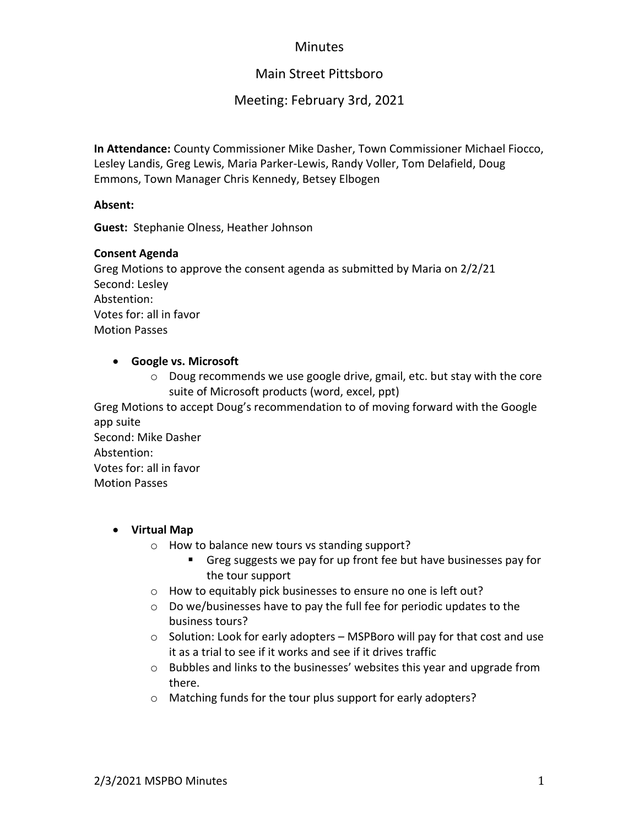# **Minutes**

# Main Street Pittsboro

# Meeting: February 3rd, 2021

**In Attendance:** County Commissioner Mike Dasher, Town Commissioner Michael Fiocco, Lesley Landis, Greg Lewis, Maria Parker-Lewis, Randy Voller, Tom Delafield, Doug Emmons, Town Manager Chris Kennedy, Betsey Elbogen

#### **Absent:**

**Guest:** Stephanie Olness, Heather Johnson

#### **Consent Agenda**

Greg Motions to approve the consent agenda as submitted by Maria on 2/2/21 Second: Lesley Abstention: Votes for: all in favor Motion Passes

## • **Google vs. Microsoft**

 $\circ$  Doug recommends we use google drive, gmail, etc. but stay with the core suite of Microsoft products (word, excel, ppt)

Greg Motions to accept Doug's recommendation to of moving forward with the Google app suite

Second: Mike Dasher Abstention: Votes for: all in favor Motion Passes

## • **Virtual Map**

- o How to balance new tours vs standing support?
	- Greg suggests we pay for up front fee but have businesses pay for the tour support
- o How to equitably pick businesses to ensure no one is left out?
- o Do we/businesses have to pay the full fee for periodic updates to the business tours?
- o Solution: Look for early adopters MSPBoro will pay for that cost and use it as a trial to see if it works and see if it drives traffic
- o Bubbles and links to the businesses' websites this year and upgrade from there.
- o Matching funds for the tour plus support for early adopters?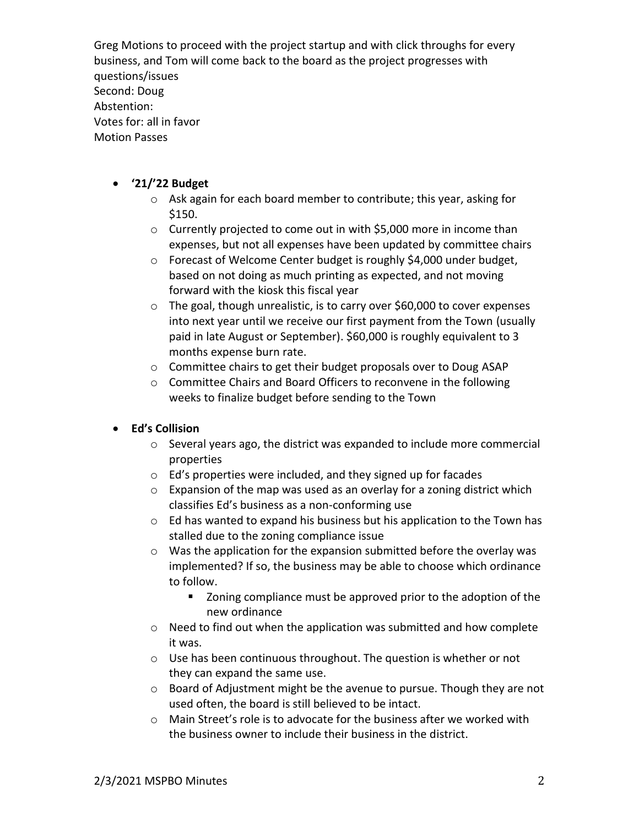Greg Motions to proceed with the project startup and with click throughs for every business, and Tom will come back to the board as the project progresses with questions/issues Second: Doug Abstention: Votes for: all in favor Motion Passes

#### • **'21/'22 Budget**

- o Ask again for each board member to contribute; this year, asking for \$150.
- o Currently projected to come out in with \$5,000 more in income than expenses, but not all expenses have been updated by committee chairs
- o Forecast of Welcome Center budget is roughly \$4,000 under budget, based on not doing as much printing as expected, and not moving forward with the kiosk this fiscal year
- o The goal, though unrealistic, is to carry over \$60,000 to cover expenses into next year until we receive our first payment from the Town (usually paid in late August or September). \$60,000 is roughly equivalent to 3 months expense burn rate.
- o Committee chairs to get their budget proposals over to Doug ASAP
- o Committee Chairs and Board Officers to reconvene in the following weeks to finalize budget before sending to the Town

## • **Ed's Collision**

- o Several years ago, the district was expanded to include more commercial properties
- o Ed's properties were included, and they signed up for facades
- $\circ$  Expansion of the map was used as an overlay for a zoning district which classifies Ed's business as a non-conforming use
- o Ed has wanted to expand his business but his application to the Town has stalled due to the zoning compliance issue
- o Was the application for the expansion submitted before the overlay was implemented? If so, the business may be able to choose which ordinance to follow.
	- Zoning compliance must be approved prior to the adoption of the new ordinance
- o Need to find out when the application was submitted and how complete it was.
- o Use has been continuous throughout. The question is whether or not they can expand the same use.
- o Board of Adjustment might be the avenue to pursue. Though they are not used often, the board is still believed to be intact.
- $\circ$  Main Street's role is to advocate for the business after we worked with the business owner to include their business in the district.